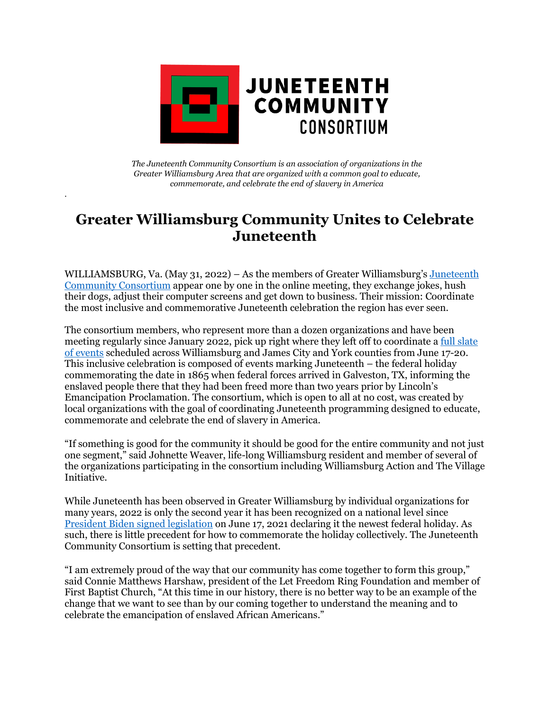

*The Juneteenth Community Consortium is an association of organizations in the Greater Williamsburg Area that are organized with a common goal to educate, commemorate, and celebrate the end of slavery in America*

*.* 

## **Greater Williamsburg Community Unites to Celebrate Juneteenth**

WILLIAMSBURG, Va. (May 31, 2022) – As the members of Greater Williamsburg's [Juneteenth](https://www.juneteenthcc.org/about-us)  [Community Consortium](https://www.juneteenthcc.org/about-us) appear one by one in the online meeting, they exchange jokes, hush their dogs, adjust their computer screens and get down to business. Their mission: Coordinate the most inclusive and commemorative Juneteenth celebration the region has ever seen.

The consortium members, who represent more than a dozen organizations and have been meeting regularly since January 2022, pick up right where they left off to coordinate a [full slate](https://www.juneteenthcc.org/events)  of [events](https://www.juneteenthcc.org/events) scheduled across Williamsburg and James City and York counties from June 17-20. This inclusive celebration is composed of events marking Juneteenth – the federal holiday commemorating the date in 1865 when federal forces arrived in Galveston, TX, informing the enslaved people there that they had been freed more than two years prior by Lincoln's Emancipation Proclamation. The consortium, which is open to all at no cost, was created by local organizations with the goal of coordinating Juneteenth programming designed to educate, commemorate and celebrate the end of slavery in America.

"If something is good for the community it should be good for the entire community and not just one segment," said Johnette Weaver, life-long Williamsburg resident and member of several of the organizations participating in the consortium including Williamsburg Action and The Village Initiative.

While Juneteenth has been observed in Greater Williamsburg by individual organizations for many years, 2022 is only the second year it has been recognized on a national level since [President Biden signed legislation](https://apnews.com/article/biden-juneteenth-federal-holiday-9bb62a3448376e05d87ac79cf27970d2) on June 17, 2021 declaring it the newest federal holiday. As such, there is little precedent for how to commemorate the holiday collectively. The Juneteenth Community Consortium is setting that precedent.

"I am extremely proud of the way that our community has come together to form this group," said Connie Matthews Harshaw, president of the Let Freedom Ring Foundation and member of First Baptist Church, "At this time in our history, there is no better way to be an example of the change that we want to see than by our coming together to understand the meaning and to celebrate the emancipation of enslaved African Americans."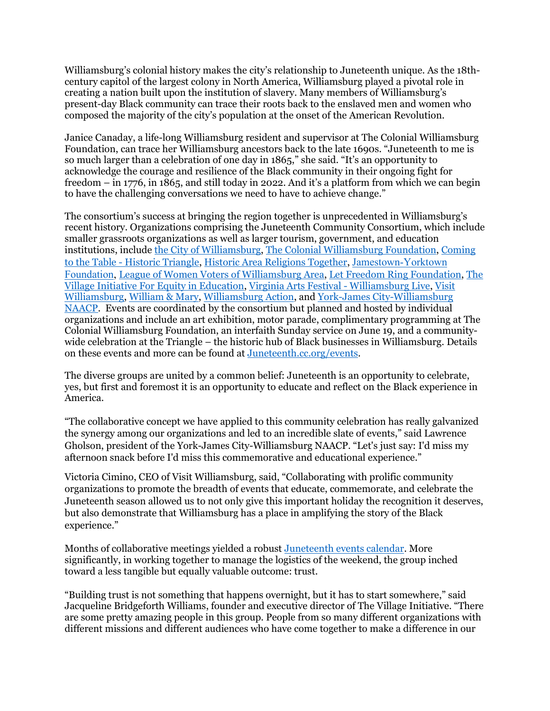Williamsburg's colonial history makes the city's relationship to Juneteenth unique. As the 18thcentury capitol of the largest colony in North America, Williamsburg played a pivotal role in creating a nation built upon the institution of slavery. Many members of Williamsburg's present-day Black community can trace their roots back to the enslaved men and women who composed the majority of the city's population at the onset of the American Revolution.

Janice Canaday, a life-long Williamsburg resident and supervisor at The Colonial Williamsburg Foundation, can trace her Williamsburg ancestors back to the late 1690s. "Juneteenth to me is so much larger than a celebration of one day in 1865," she said. "It's an opportunity to acknowledge the courage and resilience of the Black community in their ongoing fight for freedom – in 1776, in 1865, and still today in 2022. And it's a platform from which we can begin to have the challenging conversations we need to have to achieve change."

The consortium's success at bringing the region together is unprecedented in Williamsburg's recent history. Organizations comprising the Juneteenth Community Consortium, which include smaller grassroots organizations as well as larger tourism, government, and education institutions, include [the City of Williamsburg,](https://www.williamsburgva.gov/) [The Colonial Williamsburg Foundation,](https://www.colonialwilliamsburg.org/juneteenth/) [Coming](https://www.comingtothetable-historictriangle.org/)  to the Table - [Historic Triangle,](https://www.comingtothetable-historictriangle.org/) [Historic Area Religions Together,](https://peninsulahart.org/) [Jamestown-Yorktown](https://jyfmuseums.org/)  [Foundation,](https://jyfmuseums.org/) [League of Women Voters of Williamsburg Area,](https://lwvwilliamsburg.org/) [Let Freedom Ring Foundation,](https://firstbaptistchurch1776.org/foundation-home/) [The](https://www.villagewjcc.org/)  [Village Initiative For Equity in Education,](https://www.villagewjcc.org/) [Virginia Arts Festival -](https://www.vafest.org/williamsburg-live/) Williamsburg Live, [Visit](https://www.visitwilliamsburg.com/)  [Williamsburg,](https://www.visitwilliamsburg.com/) [William & Mary,](https://www.wm.edu/sites/juneteenth/index.php) [Williamsburg Action,](https://www.williamsburgaction.org/) and [York-James City-Williamsburg](https://yjcwnaacp.org/)  [NAACP.](https://yjcwnaacp.org/) Events are coordinated by the consortium but planned and hosted by individual organizations and include an art exhibition, motor parade, complimentary programming at The Colonial Williamsburg Foundation, an interfaith Sunday service on June 19, and a communitywide celebration at the Triangle – the historic hub of Black businesses in Williamsburg. Details on these events and more can be found at [Juneteenth.cc.org/events.](https://www.juneteenthcc.org/events)

The diverse groups are united by a common belief: Juneteenth is an opportunity to celebrate, yes, but first and foremost it is an opportunity to educate and reflect on the Black experience in America.

"The collaborative concept we have applied to this community celebration has really galvanized the synergy among our organizations and led to an incredible slate of events," said Lawrence Gholson, president of the York-James City-Williamsburg NAACP. "Let's just say: I'd miss my afternoon snack before I'd miss this commemorative and educational experience."

Victoria Cimino, CEO of Visit Williamsburg, said, "Collaborating with prolific community organizations to promote the breadth of events that educate, commemorate, and celebrate the Juneteenth season allowed us to not only give this important holiday the recognition it deserves, but also demonstrate that Williamsburg has a place in amplifying the story of the Black experience."

Months of collaborative meetings yielded a robust [Juneteenth events calendar.](https://www.juneteenthcc.org/events) More significantly, in working together to manage the logistics of the weekend, the group inched toward a less tangible but equally valuable outcome: trust.

"Building trust is not something that happens overnight, but it has to start somewhere," said Jacqueline Bridgeforth Williams, founder and executive director of The Village Initiative. "There are some pretty amazing people in this group. People from so many different organizations with different missions and different audiences who have come together to make a difference in our